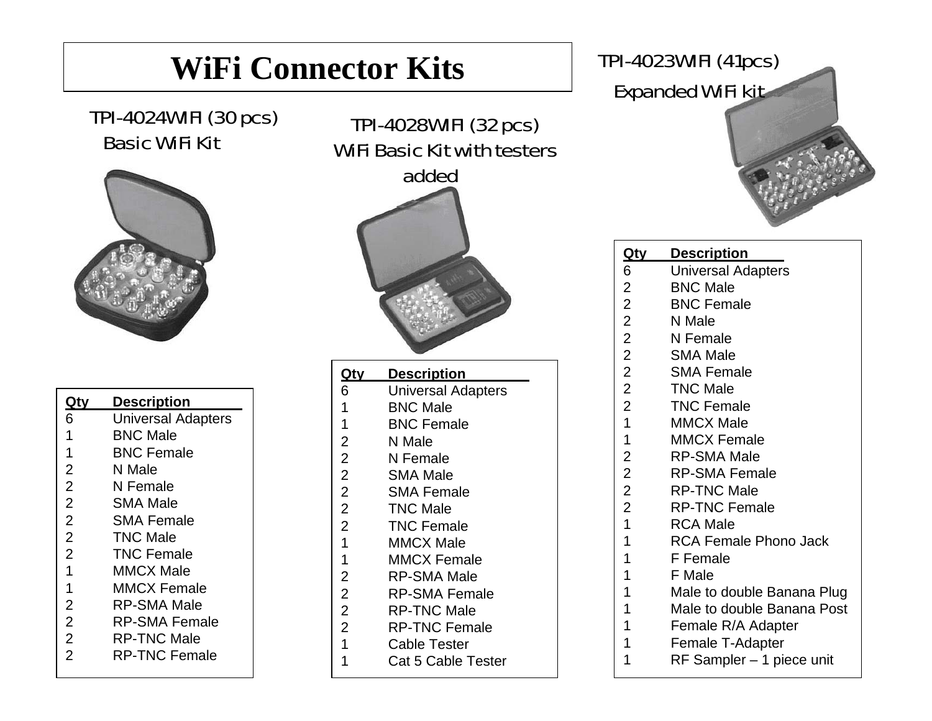## **WiFi Connector Kits**

#### TPI-4024WIFI (30 pcs) Basic WiFi Kit



| Qtv            | <b>Description</b>        |
|----------------|---------------------------|
| 6              | <b>Universal Adapters</b> |
| 1              | <b>BNC Male</b>           |
| 1              | <b>BNC Female</b>         |
| $\overline{2}$ | N Male                    |
| $\overline{2}$ | N Female                  |
| $\overline{2}$ | <b>SMA Male</b>           |
| $\overline{2}$ | <b>SMA Female</b>         |
| $\overline{2}$ | TNC Male                  |
| $\overline{2}$ | TNC Female                |
| 1              | <b>MMCX Male</b>          |
| 1              | MMCX Female               |
| $\overline{2}$ | <b>RP-SMA Male</b>        |
| $\overline{2}$ | RP-SMA Female             |
| $\overline{2}$ | <b>RP-TNC Male</b>        |
| $\overline{2}$ | <b>RP-TNC Female</b>      |

## TPI-4028WIFI (32 pcs) WiFi Basic Kit with testers added

| <u>Qty</u>     | <u>Description</u>        |
|----------------|---------------------------|
| 6              | <b>Universal Adapters</b> |
| 1              | <b>BNC Male</b>           |
| $\overline{1}$ | <b>BNC Female</b>         |
| $\overline{2}$ | N Male                    |
| $\overline{2}$ | N Female                  |
| $\overline{2}$ | <b>SMA Male</b>           |
| $\overline{2}$ | <b>SMA Female</b>         |
| $\overline{2}$ | <b>TNC Male</b>           |
| $\overline{c}$ | <b>TNC Female</b>         |
| $\overline{1}$ | <b>MMCX Male</b>          |
| $\overline{1}$ | <b>MMCX Female</b>        |
| $\overline{2}$ | <b>RP-SMA Male</b>        |
| $\overline{2}$ | <b>RP-SMA Female</b>      |
| $\overline{2}$ | <b>RP-TNC Male</b>        |
| $\overline{2}$ | <b>RP-TNC Female</b>      |
| $\overline{1}$ | <b>Cable Tester</b>       |
| 1              | Cat 5 Cable Tester        |

### TPI-4023WIFI (41pcs) Expanded WiFi kit

| <u>Qty</u>     | <u>Description</u>         |
|----------------|----------------------------|
| 6              | <b>Universal Adapters</b>  |
| $\overline{2}$ | <b>BNC Male</b>            |
| $\overline{2}$ | <b>BNC Female</b>          |
| $\overline{2}$ | N Male                     |
| $\overline{2}$ | N Female                   |
| $\overline{c}$ | <b>SMA Male</b>            |
| $\overline{2}$ | <b>SMA Female</b>          |
| $\overline{c}$ | <b>TNC Male</b>            |
| $\overline{c}$ | <b>TNC Female</b>          |
| $\overline{1}$ | <b>MMCX Male</b>           |
| $\mathbf 1$    | <b>MMCX Female</b>         |
| $\overline{c}$ | <b>RP-SMA Male</b>         |
| $\overline{c}$ | <b>RP-SMA Female</b>       |
| $\overline{2}$ | <b>RP-TNC Male</b>         |
| $\overline{2}$ | <b>RP-TNC Female</b>       |
| $\overline{1}$ | <b>RCA Male</b>            |
| $\mathbf 1$    | RCA Female Phono Jack      |
| $\overline{1}$ | F Female                   |
| 1              | F Male                     |
| 1              | Male to double Banana Plug |
| 1              | Male to double Banana Post |
| 1              | Female R/A Adapter         |
| 1              | Female T-Adapter           |
| 1              | RF Sampler - 1 piece unit  |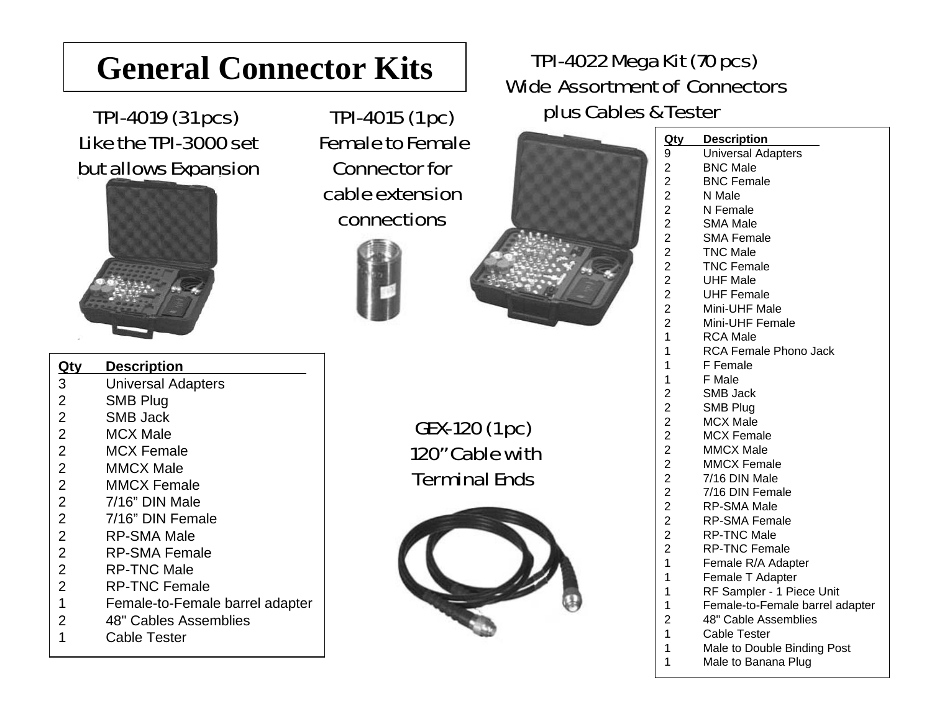## **General Connector Kits** TPI-4022 Mega Kit (70 pcs)<br>Wide Assortment of Connectors

TPI-4019 (31 pcs) Like the TPI-3000 setbut allows Expansion



**Qty Description** .

TPI-4015 (1 pc) Female to Female Connector for cable extension connections



# plus Cables & Tester



| 3              | Universal Adapters              |
|----------------|---------------------------------|
| $\overline{2}$ | <b>SMB Plug</b>                 |
| 2              | <b>SMB Jack</b>                 |
| $\overline{2}$ | <b>MCX Male</b>                 |
| $\overline{2}$ | <b>MCX Female</b>               |
| $\overline{2}$ | <b>MMCX Male</b>                |
| $\overline{2}$ | <b>MMCX Female</b>              |
| $\overline{2}$ | 7/16" DIN Male                  |
| $\overline{2}$ | 7/16" DIN Female                |
| $\overline{2}$ | <b>RP-SMA Male</b>              |
| $\overline{2}$ | <b>RP-SMA Female</b>            |
| $\overline{2}$ | <b>RP-TNC Male</b>              |
| $\overline{2}$ | <b>RP-TNC Female</b>            |
| $\mathbf 1$    | Female-to-Female barrel adapter |
| $\overline{2}$ | 48" Cables Assemblies           |

GEX-120 (1 pc) 120" Cable with Terminal Ends



| rester         |                           |  |
|----------------|---------------------------|--|
| <u>Qty</u>     | <b>Description</b>        |  |
| 9              | <b>Universal Adapters</b> |  |
|                | <b>BNC Male</b>           |  |
|                | <b>BNC Female</b>         |  |
|                | N Male                    |  |
|                | N Female                  |  |
|                | <b>SMA Male</b>           |  |
|                | <b>SMA Female</b>         |  |
|                | <b>TNC Male</b>           |  |
|                | <b>TNC Female</b>         |  |
|                | <b>UHF Male</b>           |  |
|                | <b>UHF Female</b>         |  |
|                | Mini-UHF Male             |  |
| 22222222221    | Mini-UHF Female           |  |
|                | <b>RCA Male</b>           |  |
| $\mathbf{1}$   | RCA Female Phono Jack     |  |
| 1              | F Female                  |  |
| $\mathbf 1$    | F Male                    |  |
|                | <b>SMB Jack</b>           |  |
|                | <b>SMB Plug</b>           |  |
|                | <b>MCX Male</b>           |  |
|                | <b>MCX Female</b>         |  |
|                | <b>MMCX Male</b>          |  |
|                | <b>MMCX Female</b>        |  |
|                | 7/16 DIN Male             |  |
|                | 7/16 DIN Female           |  |
|                | <b>RP-SMA Male</b>        |  |
|                | <b>RP-SMA Female</b>      |  |
|                | <b>RP-TNC Male</b>        |  |
| 222222222221   | <b>RP-TNC Female</b>      |  |
|                | Female R/A Adapter        |  |
| $\overline{A}$ | $F$ amala $T$ Adaptar     |  |

- 1 Female T Adapter 1 RF Sampler - 1 Piece Unit
- 1 Female-to-Female barrel adapter
- 2 48" Cable Assemblies
- 1 Cable Tester
- 1 Male to Double Binding Post
- 1 Male to Banana Plug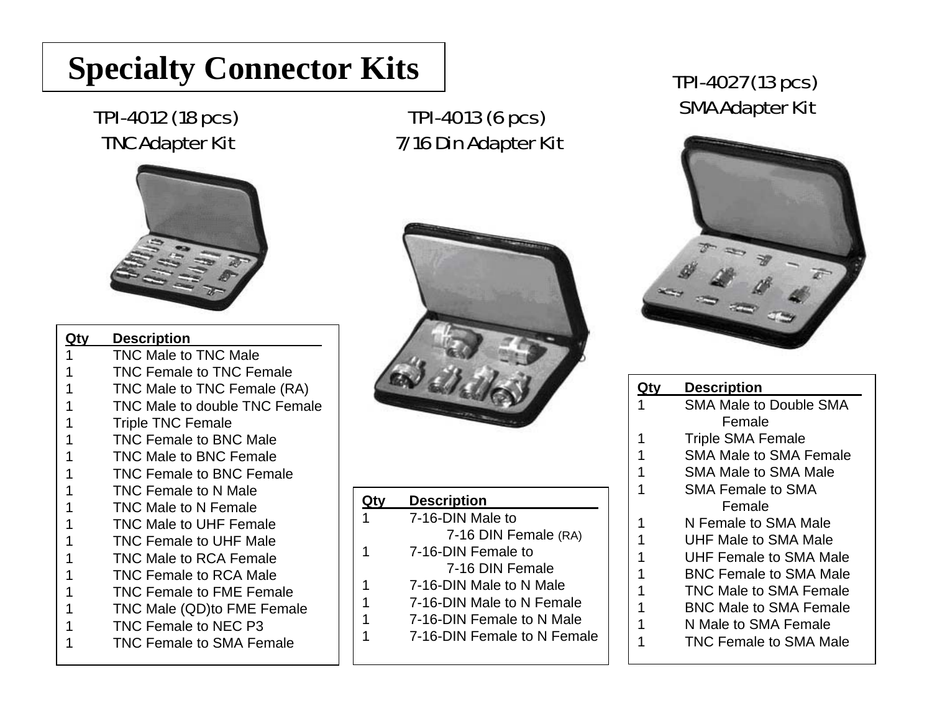## **Specialty Connector Kits**

#### TPI-4012 (18 pcs) TNC Adapter Kit



| Qtv | <b>Description</b>              |
|-----|---------------------------------|
| 1   | <b>TNC Male to TNC Male</b>     |
| 1   | <b>TNC Female to TNC Female</b> |
| 1   | TNC Male to TNC Female (RA)     |
| 1   | TNC Male to double TNC Female   |
| 1   | <b>Triple TNC Female</b>        |
| 1   | <b>TNC Female to BNC Male</b>   |
| 1   | <b>TNC Male to BNC Female</b>   |
| 1   | <b>TNC Female to BNC Female</b> |
| 1   | <b>TNC Female to N Male</b>     |
| 1   | <b>TNC Male to N Female</b>     |
| 1   | <b>TNC Male to UHF Female</b>   |
| 1   | <b>TNC Female to UHF Male</b>   |
| 1   | <b>TNC Male to RCA Female</b>   |
| 1   | <b>TNC Female to RCA Male</b>   |
| 1   | <b>TNC Female to FME Female</b> |
| 1   | TNC Male (QD)to FME Female      |
| 1   | TNC Female to NEC P3            |
| 1   | <b>TNC Female to SMA Female</b> |
|     |                                 |

#### TPI-4013 (6 pcs) 7/16 Din Adapter Kit



|   | <b>Description</b>          |
|---|-----------------------------|
|   | 7-16-DIN Male to            |
|   | 7-16 DIN Female (RA)        |
| 1 | 7-16-DIN Female to          |
|   | 7-16 DIN Female             |
| 1 | 7-16-DIN Male to N Male     |
| 1 | 7-16-DIN Male to N Female   |
| 1 | 7-16-DIN Female to N Male   |
|   | 7-16-DIN Female to N Female |
|   |                             |

#### TPI-4027 (13 pcs) SMA Adapter Kit



| Qtv | <b>Description</b>            |
|-----|-------------------------------|
| 1   | <b>SMA Male to Double SMA</b> |
|     | Female                        |
| 1   | <b>Triple SMA Female</b>      |
| 1   | <b>SMA Male to SMA Female</b> |
| 1   | <b>SMA Male to SMA Male</b>   |
| 1   | <b>SMA Female to SMA</b>      |
|     | Female                        |
| 1   | N Female to SMA Male          |
| 1   | UHF Male to SMA Male          |
| 1   | UHF Female to SMA Male        |
| 1   | <b>BNC Female to SMA Male</b> |
| 1   | TNC Male to SMA Female        |
| 1   | <b>BNC Male to SMA Female</b> |
|     | N Male to SMA Female          |
|     | <b>TNC Female to SMA Male</b> |